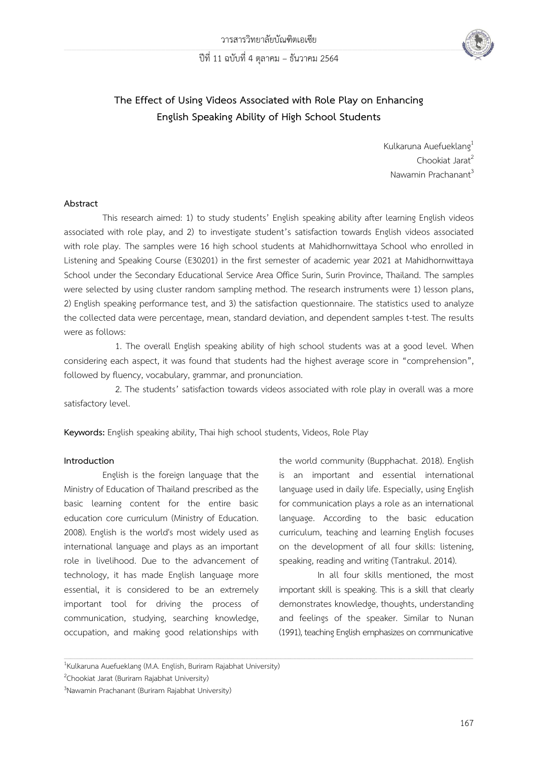ปีที่ 11 ฉบับที่ 4 ตุลาคม – ธันวาคม 2564



# **The Effect of Using Videos Associated with Role Play on Enhancing English Speaking Ability of High School Students**

Kulkaruna Auefueklang<sup>1</sup>  $Chookiat$  Jarat<sup>2</sup> Nawamin Prachanant<sup>3</sup>

## **Abstract**

This research aimed: 1) to study students' English speaking ability after learning English videos associated with role play, and 2) to investigate student's satisfaction towards English videos associated with role play. The samples were 16 high school students at Mahidhornwittaya School who enrolled in Listening and Speaking Course (E30201) in the first semester of academic year 2021 at Mahidhornwittaya School under the Secondary Educational Service Area Office Surin, Surin Province, Thailand. The samples were selected by using cluster random sampling method. The research instruments were 1) lesson plans, 2) English speaking performance test, and 3) the satisfaction questionnaire. The statistics used to analyze the collected data were percentage, mean, standard deviation, and dependent samples t-test. The results were as follows:

1. The overall English speaking ability of high school students was at a good level. When considering each aspect, it was found that students had the highest average score in "comprehension", followed by fluency, vocabulary, grammar, and pronunciation.

2. The students' satisfaction towards videos associated with role play in overall was a more satisfactory level.

,一个人的人都是一个人的人,我们就是一个人的人,我们就是一个人的人,我们就是一个人的人,我们就是一个人的人,我们就是一个人的人,我们就是一个人的人,我们就是一个人

**Keywords:** English speaking ability, Thai high school students, Videos, Role Play

### **Introduction**

English is the foreign language that the Ministry of Education of Thailand prescribed as the basic learning content for the entire basic education core curriculum (Ministry of Education. 2008). English is the world's most widely used as international language and plays as an important role in livelihood. Due to the advancement of technology, it has made English language more essential, it is considered to be an extremely important tool for driving the process of communication, studying, searching knowledge, occupation, and making good relationships with

the world community (Bupphachat. 2018). English is an important and essential international language used in daily life. Especially, using English for communication plays a role as an international language. According to the basic education curriculum, teaching and learning English focuses on the development of all four skills: listening, speaking, reading and writing (Tantrakul. 2014).

In all four skills mentioned, the most important skill is speaking. This is a skill that clearly demonstrates knowledge, thoughts, understanding and feelings of the speaker. Similar to Nunan (1991), teaching English emphasizes on communicative

<sup>&</sup>lt;sup>1</sup>Kulkaruna Auefueklang (M.A. English, Buriram Rajabhat University)

<sup>2</sup>Chookiat Jarat (Buriram Rajabhat University)

<sup>3</sup>Nawamin Prachanant (Buriram Rajabhat University)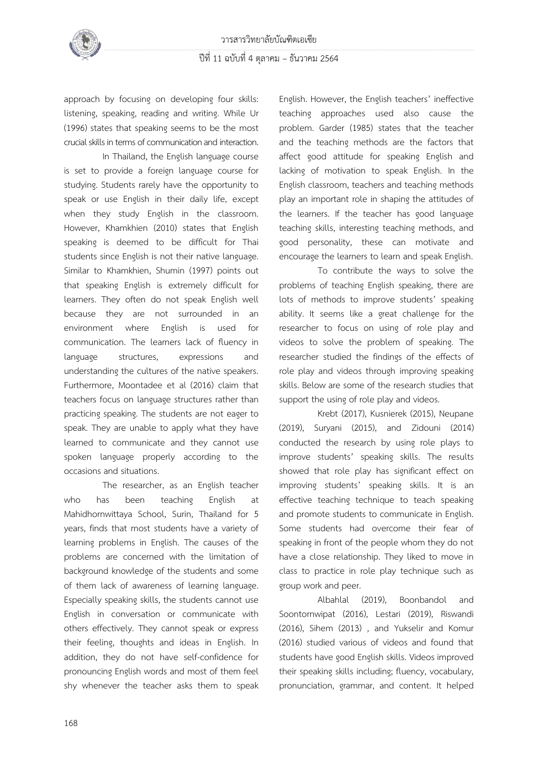

approach by focusing on developing four skills: listening, speaking, reading and writing. While Ur (1996) states that speaking seems to be the most crucial skills in terms of communication and interaction.

In Thailand, the English language course is set to provide a foreign language course for studying. Students rarely have the opportunity to speak or use English in their daily life, except when they study English in the classroom. However, Khamkhien (2010) states that English speaking is deemed to be difficult for Thai students since English is not their native language. Similar to Khamkhien, Shumin (1997) points out that speaking English is extremely difficult for learners. They often do not speak English well because they are not surrounded in an environment where English is used for communication. The learners lack of fluency in language structures, expressions and understanding the cultures of the native speakers. Furthermore, Moontadee et al (2016) claim that teachers focus on language structures rather than practicing speaking. The students are not eager to speak. They are unable to apply what they have learned to communicate and they cannot use spoken language properly according to the occasions and situations.

The researcher, as an English teacher who has been teaching English at Mahidhornwittaya School, Surin, Thailand for 5 years, finds that most students have a variety of learning problems in English. The causes of the problems are concerned with the limitation of background knowledge of the students and some of them lack of awareness of learning language. Especially speaking skills, the students cannot use English in conversation or communicate with others effectively. They cannot speak or express their feeling, thoughts and ideas in English. In addition, they do not have self-confidence for pronouncing English words and most of them feel shy whenever the teacher asks them to speak

English. However, the English teachers' ineffective teaching approaches used also cause the problem. Garder (1985) states that the teacher and the teaching methods are the factors that affect good attitude for speaking English and lacking of motivation to speak English. In the English classroom, teachers and teaching methods play an important role in shaping the attitudes of the learners. If the teacher has good language teaching skills, interesting teaching methods, and good personality, these can motivate and encourage the learners to learn and speak English.

To contribute the ways to solve the problems of teaching English speaking, there are lots of methods to improve students' speaking ability. It seems like a great challenge for the researcher to focus on using of role play and videos to solve the problem of speaking. The researcher studied the findings of the effects of role play and videos through improving speaking skills. Below are some of the research studies that support the using of role play and videos.

Krebt (2017), Kusnierek (2015), Neupane (2019), Suryani (2015), and Zidouni (2014) conducted the research by using role plays to improve students' speaking skills. The results showed that role play has significant effect on improving students' speaking skills. It is an effective teaching technique to teach speaking and promote students to communicate in English. Some students had overcome their fear of speaking in front of the people whom they do not have a close relationship. They liked to move in class to practice in role play technique such as group work and peer.

Albahlal (2019), Boonbandol and Soontornwipat (2016), Lestari (2019), Riswandi (2016), Sihem (2013) , and Yukselir and Komur (2016) studied various of videos and found that students have good English skills. Videos improved their speaking skills including; fluency, vocabulary, pronunciation, grammar, and content. It helped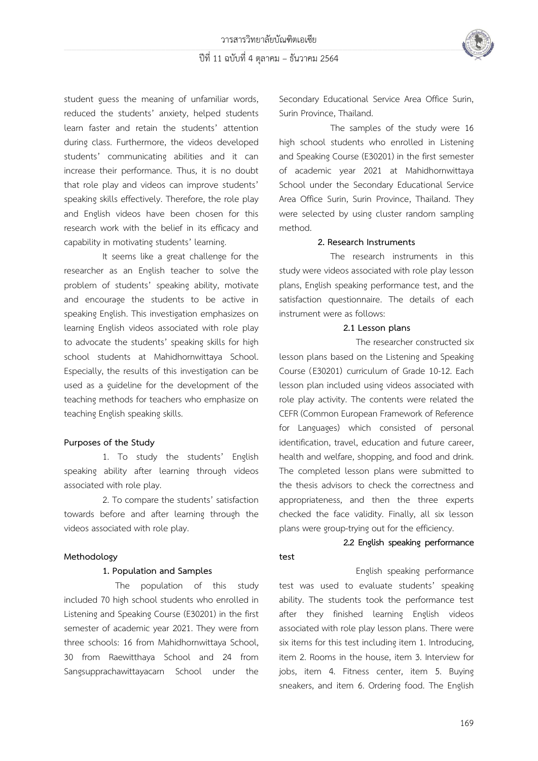

student guess the meaning of unfamiliar words, reduced the students' anxiety, helped students learn faster and retain the students' attention during class. Furthermore, the videos developed students' communicating abilities and it can increase their performance. Thus, it is no doubt that role play and videos can improve students' speaking skills effectively. Therefore, the role play and English videos have been chosen for this research work with the belief in its efficacy and capability in motivating students' learning.

It seems like a great challenge for the researcher as an English teacher to solve the problem of students' speaking ability, motivate and encourage the students to be active in speaking English. This investigation emphasizes on learning English videos associated with role play to advocate the students' speaking skills for high school students at Mahidhornwittaya School. Especially, the results of this investigation can be used as a guideline for the development of the teaching methods for teachers who emphasize on teaching English speaking skills.

### **Purposes of the Study**

1. To study the students' English speaking ability after learning through videos associated with role play.

2. To compare the students' satisfaction towards before and after learning through the videos associated with role play.

### **Methodology**

### **1. Population and Samples**

The population of this study included 70 high school students who enrolled in Listening and Speaking Course (E30201) in the first semester of academic year 2021. They were from three schools: 16 from Mahidhornwittaya School, 30 from Raewitthaya School and 24 from Sangsupprachawittayacarn School under the Secondary Educational Service Area Office Surin, Surin Province, Thailand.

The samples of the study were 16 high school students who enrolled in Listening and Speaking Course (E30201) in the first semester of academic year 2021 at Mahidhornwittaya School under the Secondary Educational Service Area Office Surin, Surin Province, Thailand. They were selected by using cluster random sampling method.

### **2. Research Instruments**

The research instruments in this study were videos associated with role play lesson plans, English speaking performance test, and the satisfaction questionnaire. The details of each instrument were as follows:

### **2.1 Lesson plans**

The researcher constructed six lesson plans based on the Listening and Speaking Course (E30201) curriculum of Grade 10-12. Each lesson plan included using videos associated with role play activity. The contents were related the CEFR (Common European Framework of Reference for Languages) which consisted of personal identification, travel, education and future career, health and welfare, shopping, and food and drink. The completed lesson plans were submitted to the thesis advisors to check the correctness and appropriateness, and then the three experts checked the face validity. Finally, all six lesson plans were group-trying out for the efficiency.

# **2.2 English speaking performance test**

English speaking performance test was used to evaluate students' speaking ability. The students took the performance test after they finished learning English videos associated with role play lesson plans. There were six items for this test including item 1. Introducing, item 2. Rooms in the house, item 3. Interview for jobs, item 4. Fitness center, item 5. Buying sneakers, and item 6. Ordering food. The English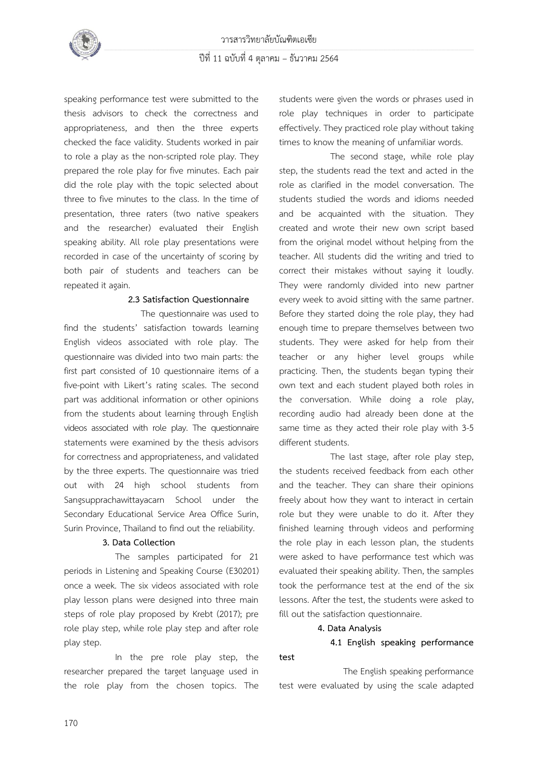

speaking performance test were submitted to the thesis advisors to check the correctness and appropriateness, and then the three experts checked the face validity. Students worked in pair to role a play as the non-scripted role play. They prepared the role play for five minutes. Each pair did the role play with the topic selected about three to five minutes to the class. In the time of presentation, three raters (two native speakers and the researcher) evaluated their English speaking ability. All role play presentations were recorded in case of the uncertainty of scoring by both pair of students and teachers can be repeated it again.

### **2.3 Satisfaction Questionnaire**

The questionnaire was used to find the students' satisfaction towards learning English videos associated with role play. The questionnaire was divided into two main parts: the first part consisted of 10 questionnaire items of a five-point with Likert's rating scales. The second part was additional information or other opinions from the students about learning through English videos associated with role play. The questionnaire statements were examined by the thesis advisors for correctness and appropriateness, and validated by the three experts. The questionnaire was tried out with 24 high school students from Sangsupprachawittayacarn School under the Secondary Educational Service Area Office Surin, Surin Province, Thailand to find out the reliability.

#### **3. Data Collection**

The samples participated for 21 periods in Listening and Speaking Course (E30201) once a week. The six videos associated with role play lesson plans were designed into three main steps of role play proposed by Krebt (2017); pre role play step, while role play step and after role play step.

In the pre role play step, the researcher prepared the target language used in the role play from the chosen topics. The students were given the words or phrases used in role play techniques in order to participate effectively. They practiced role play without taking times to know the meaning of unfamiliar words.

The second stage, while role play step, the students read the text and acted in the role as clarified in the model conversation. The students studied the words and idioms needed and be acquainted with the situation. They created and wrote their new own script based from the original model without helping from the teacher. All students did the writing and tried to correct their mistakes without saying it loudly. They were randomly divided into new partner every week to avoid sitting with the same partner. Before they started doing the role play, they had enough time to prepare themselves between two students. They were asked for help from their teacher or any higher level groups while practicing. Then, the students began typing their own text and each student played both roles in the conversation. While doing a role play, recording audio had already been done at the same time as they acted their role play with 3-5 different students.

The last stage, after role play step, the students received feedback from each other and the teacher. They can share their opinions freely about how they want to interact in certain role but they were unable to do it. After they finished learning through videos and performing the role play in each lesson plan, the students were asked to have performance test which was evaluated their speaking ability. Then, the samples took the performance test at the end of the six lessons. After the test, the students were asked to fill out the satisfaction questionnaire.

### **4. Data Analysis**

**test**

# **4.1 English speaking performance**

The English speaking performance test were evaluated by using the scale adapted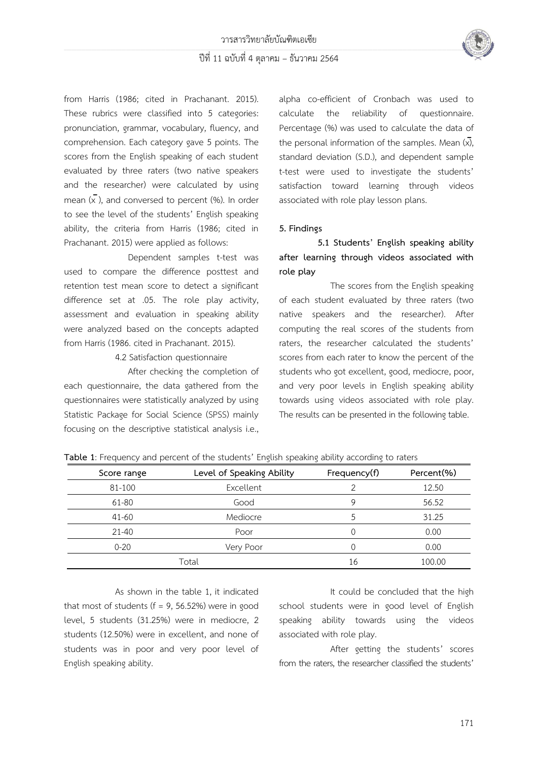

from Harris (1986; cited in Prachanant. 2015). These rubrics were classified into 5 categories: pronunciation, grammar, vocabulary, fluency, and comprehension. Each category gave 5 points. The scores from the English speaking of each student evaluated by three raters (two native speakers and the researcher) were calculated by using mean  $(\overline{x})$ , and conversed to percent (%). In order to see the level of the students' English speaking ability, the criteria from Harris (1986; cited in Prachanant. 2015) were applied as follows:

Dependent samples t-test was used to compare the difference posttest and retention test mean score to detect a significant difference set at .05. The role play activity, assessment and evaluation in speaking ability were analyzed based on the concepts adapted from Harris (1986. cited in Prachanant. 2015).

### 4.2 Satisfaction questionnaire

After checking the completion of each questionnaire, the data gathered from the questionnaires were statistically analyzed by using Statistic Package for Social Science (SPSS) mainly focusing on the descriptive statistical analysis i.e., alpha co-efficient of Cronbach was used to calculate the reliability of questionnaire. Percentage (%) was used to calculate the data of the personal information of the samples. Mean  $(\overline{x})$ , standard deviation (S.D.), and dependent sample t-test were used to investigate the students' satisfaction toward learning through videos associated with role play lesson plans.

## **5. Findings**

**5.1 Students' English speaking ability after learning through videos associated with role play**

The scores from the English speaking of each student evaluated by three raters (two native speakers and the researcher). After computing the real scores of the students from raters, the researcher calculated the students' scores from each rater to know the percent of the students who got excellent, good, mediocre, poor, and very poor levels in English speaking ability towards using videos associated with role play. The results can be presented in the following table.

| Score range | Level of Speaking Ability | Frequency(f) | Percent(%) |  |
|-------------|---------------------------|--------------|------------|--|
| 81-100      | Excellent                 | ⌒            | 12.50      |  |
| 61-80       | Good                      | Q            | 56.52      |  |
| $41 - 60$   | Mediocre                  |              | 31.25      |  |
| $21 - 40$   | Poor                      |              | 0.00       |  |
| $0 - 20$    | Very Poor                 |              | 0.00       |  |
|             | Total                     | 16           | 100.00     |  |

**Table 1**: Frequency and percent of the students' English speaking ability according to raters

As shown in the table 1, it indicated that most of students ( $f = 9$ , 56.52%) were in good level, 5 students (31.25%) were in mediocre, 2 students (12.50%) were in excellent, and none of students was in poor and very poor level of English speaking ability.

It could be concluded that the high school students were in good level of English speaking ability towards using the videos associated with role play.

After getting the students' scores from the raters, the researcher classified the students'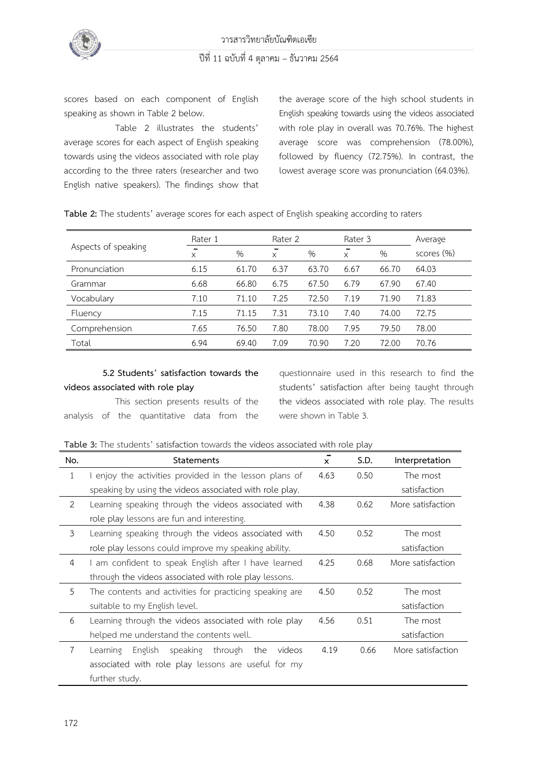

scores based on each component of English speaking as shown in Table 2 below.

Table 2 illustrates the students' average scores for each aspect of English speaking towards using the videos associated with role play according to the three raters (researcher and two English native speakers). The findings show that

the average score of the high school students in English speaking towards using the videos associated with role play in overall was 70.76%. The highest average score was comprehension (78.00%), followed by fluency (72.75%). In contrast, the lowest average score was pronunciation (64.03%).

**Table 2:** The students' average scores for each aspect of English speaking according to raters

|                     | Rater 1 |       | Rater 2 |       | Rater 3  |       | Average    |
|---------------------|---------|-------|---------|-------|----------|-------|------------|
| Aspects of speaking | X       | $\%$  | X       | $\%$  | $\times$ | %     | scores (%) |
| Pronunciation       | 6.15    | 61.70 | 6.37    | 63.70 | 6.67     | 66.70 | 64.03      |
| Grammar             | 6.68    | 66.80 | 6.75    | 67.50 | 6.79     | 67.90 | 67.40      |
| Vocabulary          | 7.10    | 71.10 | 7.25    | 72.50 | 7.19     | 71.90 | 71.83      |
| Fluency             | 7.15    | 71.15 | 7.31    | 73.10 | 7.40     | 74.00 | 72.75      |
| Comprehension       | 7.65    | 76.50 | 7.80    | 78.00 | 7.95     | 79.50 | 78.00      |
| Total               | 6.94    | 69.40 | 7.09    | 70.90 | 7.20     | 72.00 | 70.76      |

# **5.2 Students' satisfaction towards the videos associated with role play**

This section presents results of the analysis of the quantitative data from the

questionnaire used in this research to find the students' satisfaction after being taught through the videos associated with role play. The results were shown in Table 3.

**Table 3:** The students' satisfaction towards the videos associated with role play

| No.            | <b>Statements</b>                                           | $\mathsf{x}$ | S.D. | Interpretation    |
|----------------|-------------------------------------------------------------|--------------|------|-------------------|
| $\mathbf{1}$   | I enjoy the activities provided in the lesson plans of      | 4.63         | 0.50 | The most          |
|                | speaking by using the videos associated with role play.     |              |      | satisfaction      |
| 2              | Learning speaking through the videos associated with        | 4.38         | 0.62 | More satisfaction |
|                | role play lessons are fun and interesting.                  |              |      |                   |
| 3              | Learning speaking through the videos associated with        | 4.50         | 0.52 | The most          |
|                | role play lessons could improve my speaking ability.        |              |      | satisfaction      |
| 4              | I am confident to speak English after I have learned        | 4.25         | 0.68 | More satisfaction |
|                | through the videos associated with role play lessons.       |              |      |                   |
| 5              | The contents and activities for practicing speaking are     | 4.50         | 0.52 | The most          |
|                | suitable to my English level.                               |              |      | satisfaction      |
| 6              | Learning through the videos associated with role play       | 4.56         | 0.51 | The most          |
|                | helped me understand the contents well.                     |              |      | satisfaction      |
| $\overline{7}$ | English<br>speaking<br>through<br>Learning<br>the<br>videos | 4.19         | 0.66 | More satisfaction |
|                | associated with role play lessons are useful for my         |              |      |                   |
|                | further study.                                              |              |      |                   |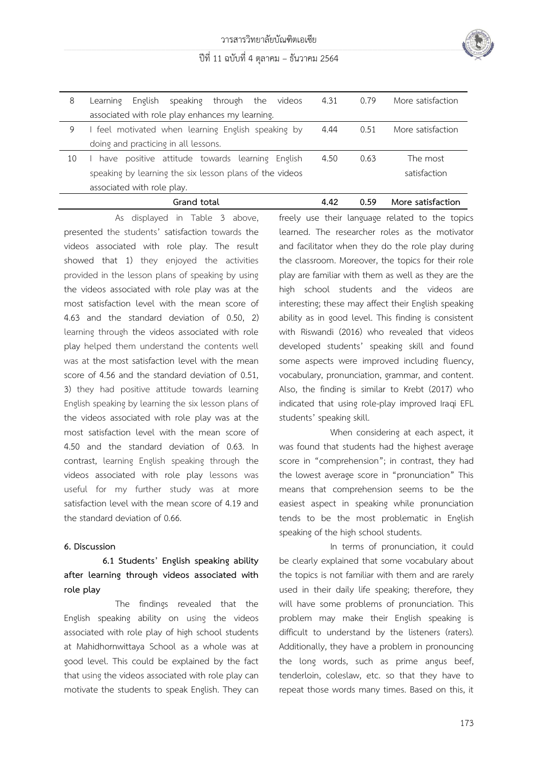

# ปีที่ 11 ฉบับที่ 4 ตุลาคม – ธันวาคม 2564

| 8  | speaking through the<br>English<br>videos<br>Learning   | 4.31 | 0.79 | More satisfaction |
|----|---------------------------------------------------------|------|------|-------------------|
|    | associated with role play enhances my learning.         |      |      |                   |
| 9  | feel motivated when learning English speaking by        | 4.44 | 0.51 | More satisfaction |
|    | doing and practicing in all lessons.                    |      |      |                   |
| 10 | have positive attitude towards learning English         | 4.50 | 0.63 | The most          |
|    | speaking by learning the six lesson plans of the videos |      |      | satisfaction      |
|    | associated with role play.                              |      |      |                   |
|    | Grand total                                             | 4.42 | 0.59 | More satisfaction |

As displayed in Table 3 above, presented the students' satisfaction towards the videos associated with role play. The result showed that 1) they enjoyed the activities provided in the lesson plans of speaking by using the videos associated with role play was at the most satisfaction level with the mean score of 4.63 and the standard deviation of 0.50, 2) learning through the videos associated with role play helped them understand the contents well was at the most satisfaction level with the mean score of 4.56 and the standard deviation of 0.51, 3) they had positive attitude towards learning English speaking by learning the six lesson plans of the videos associated with role play was at the most satisfaction level with the mean score of 4.50 and the standard deviation of 0.63. In contrast, learning English speaking through the videos associated with role play lessons was useful for my further study was at more satisfaction level with the mean score of 4.19 and the standard deviation of 0.66.

### **6. Discussion**

**6.1 Students' English speaking ability after learning through videos associated with role play**

The findings revealed that the English speaking ability on using the videos associated with role play of high school students at Mahidhornwittaya School as a whole was at good level. This could be explained by the fact that using the videos associated with role play can motivate the students to speak English. They can freely use their language related to the topics learned. The researcher roles as the motivator and facilitator when they do the role play during the classroom. Moreover, the topics for their role play are familiar with them as well as they are the high school students and the videos are interesting; these may affect their English speaking ability as in good level. This finding is consistent with Riswandi (2016) who revealed that videos developed students' speaking skill and found some aspects were improved including fluency, vocabulary, pronunciation, grammar, and content. Also, the finding is similar to Krebt (2017) who indicated that using role-play improved Iraqi EFL students' speaking skill.

When considering at each aspect, it was found that students had the highest average score in "comprehension"; in contrast, they had the lowest average score in "pronunciation" This means that comprehension seems to be the easiest aspect in speaking while pronunciation tends to be the most problematic in English speaking of the high school students.

In terms of pronunciation, it could be clearly explained that some vocabulary about the topics is not familiar with them and are rarely used in their daily life speaking; therefore, they will have some problems of pronunciation. This problem may make their English speaking is difficult to understand by the listeners (raters). Additionally, they have a problem in pronouncing the long words, such as prime angus beef, tenderloin, coleslaw, etc. so that they have to repeat those words many times. Based on this, it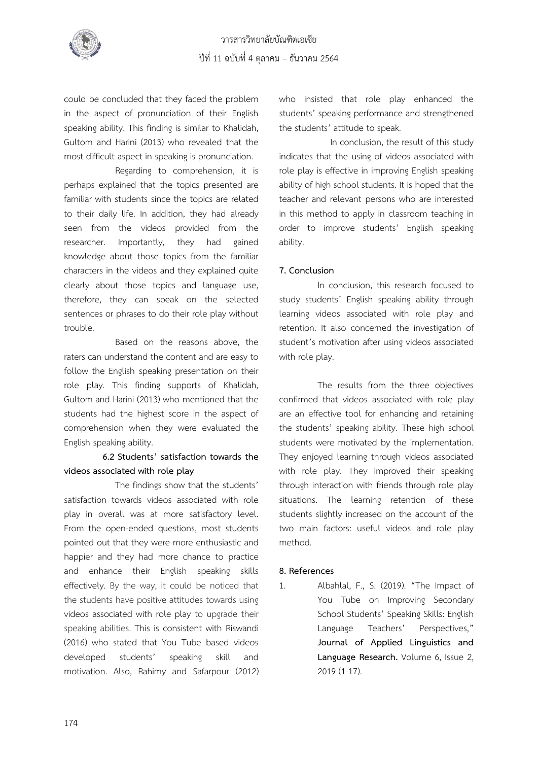

could be concluded that they faced the problem in the aspect of pronunciation of their English speaking ability. This finding is similar to Khalidah, Gultom and Harini (2013) who revealed that the most difficult aspect in speaking is pronunciation.

Regarding to comprehension, it is perhaps explained that the topics presented are familiar with students since the topics are related to their daily life. In addition, they had already seen from the videos provided from the researcher. Importantly, they had gained knowledge about those topics from the familiar characters in the videos and they explained quite clearly about those topics and language use, therefore, they can speak on the selected sentences or phrases to do their role play without trouble.

Based on the reasons above, the raters can understand the content and are easy to follow the English speaking presentation on their role play. This finding supports of Khalidah, Gultom and Harini (2013) who mentioned that the students had the highest score in the aspect of comprehension when they were evaluated the English speaking ability.

# **6.2 Students' satisfaction towards the videos associated with role play**

The findings show that the students' satisfaction towards videos associated with role play in overall was at more satisfactory level. From the open-ended questions, most students pointed out that they were more enthusiastic and happier and they had more chance to practice and enhance their English speaking skills effectively. By the way, it could be noticed that the students have positive attitudes towards using videos associated with role play to upgrade their speaking abilities. This is consistent with Riswandi (2016) who stated that You Tube based videos developed students' speaking skill and motivation. Also, Rahimy and Safarpour (2012) who insisted that role play enhanced the students' speaking performance and strengthened the students' attitude to speak.

In conclusion, the result of this study indicates that the using of videos associated with role play is effective in improving English speaking ability of high school students. It is hoped that the teacher and relevant persons who are interested in this method to apply in classroom teaching in order to improve students' English speaking ability.

## **7. Conclusion**

In conclusion, this research focused to study students' English speaking ability through learning videos associated with role play and retention. It also concerned the investigation of student's motivation after using videos associated with role play.

The results from the three objectives confirmed that videos associated with role play are an effective tool for enhancing and retaining the students' speaking ability. These high school students were motivated by the implementation. They enjoyed learning through videos associated with role play. They improved their speaking through interaction with friends through role play situations. The learning retention of these students slightly increased on the account of the two main factors: useful videos and role play method.

### **8. References**

1. Albahlal, F., S. (2019). "The Impact of You Tube on Improving Secondary School Students' Speaking Skills: English Language Teachers' Perspectives," **Journal of Applied Linguistics and Language Research.** Volume 6, Issue 2, 2019 (1-17).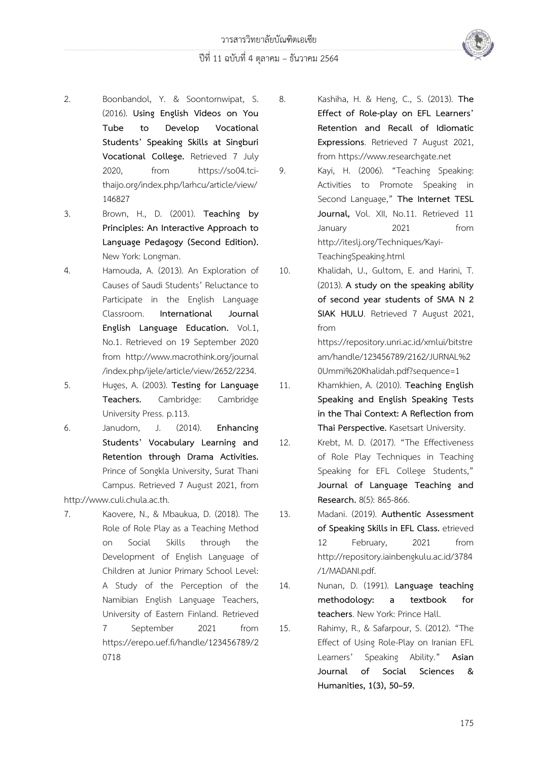# ปีที่ 11 ฉบับที่ 4 ตุลาคม – ธันวาคม 2564



- 3. Brown, H., D. (2001). **Teaching by Principles: An Interactive Approach to Language Pedagogy (Second Edition).** New York: Longman.
- 4. Hamouda, A. (2013). An Exploration of Causes of Saudi Students' Reluctance to Participate in the English Language Classroom. **International Journal English Language Education.** Vol.1, No.1. Retrieved on 19 September 2020 from http://www.macrothink.org/journal /index.php/ijele/article/view/2652/2234.
- 5. Huges, A. (2003). **Testing for Language Teachers.** Cambridge: Cambridge University Press. p.113.
- 6. Janudom, J. (2014). **Enhancing Students' Vocabulary Learning and Retention through Drama Activities.** Prince of Songkla University, Surat Thani Campus. Retrieved 7 August 2021, from

[http://www.culi.chula.ac.th](http://www.culi.chula.ac.th./)*.*

7. Kaovere, N., & Mbaukua, D. (2018). The Role of Role Play as a Teaching Method on Social Skills through the Development of English Language of Children at Junior Primary School Level: A Study of the Perception of the Namibian English Language Teachers, University of Eastern Finland. Retrieved 7 September 2021 from https://erepo.uef.fi/handle/123456789/2 0718

8. Kashiha, H. & Heng, C., S. (2013). **The Effect of Role-play on EFL Learners' Retention and Recall of Idiomatic Expressions**. Retrieved 7 August 2021, from [https://www.researchgate.net](https://www.researchgate.net/)

9. Kayi, H. (2006). "Teaching Speaking: Activities to Promote Speaking in Second Language," **The Internet TESL Journal,** Vol. XII, No.11. Retrieved 11 January 2021 from http://iteslj.org/Techniques/Kayi-TeachingSpeaking.html

10. Khalidah, U., Gultom, E. and Harini, T. (2013). **A study on the speaking ability of second year students of SMA N 2 SIAK HULU**. Retrieved 7 August 2021, from

[https://repository.unri.ac.id/xmlui/bitstre](https://repository.unri.ac.id/xmlui/bitstream/handle/123456789/2162/JURNAL) [am/handle/123456789/2162/JURNAL%2](https://repository.unri.ac.id/xmlui/bitstream/handle/123456789/2162/JURNAL) [0U](https://repository.unri.ac.id/xmlui/bitstream/handle/123456789/2162/JURNAL)mmi%20Khalidah.pdf?sequence=1

11. Khamkhien, A. (2010). **Teaching English Speaking and English Speaking Tests in the Thai Context: A Reflection from Thai Perspective.** Kasetsart University.

12. Krebt, M. D. (2017). "The Effectiveness of Role Play Techniques in Teaching Speaking for EFL College Students," **Journal of Language Teaching and Research.** 8(5): 865-866.

13. Madani. (2019). **Authentic Assessment of Speaking Skills in EFL Class.** etrieved 12 February, 2021 from [http://repository.iainbengkulu.ac.id/3784](http://repository.iainbengkulu.ac.id/3784/1/MADANI.pdf) [/1/MADANI.pdf.](http://repository.iainbengkulu.ac.id/3784/1/MADANI.pdf)

14. Nunan, D. (1991). **Language teaching methodology: a textbook for teachers**. New York: Prince Hall.

15. Rahimy, R., & Safarpour, S. (2012). "The Effect of Using Role-Play on Iranian EFL Learners' Speaking Ability." **Asian Journal of Social Sciences & Humanities, 1(3), 50–59.**